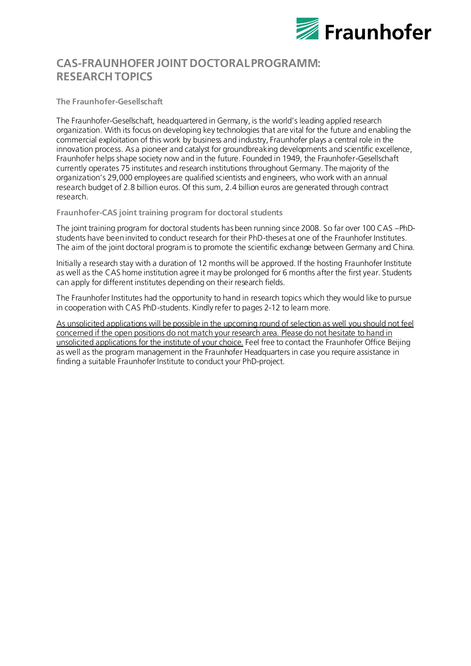

# **CAS-FRAUNHOFER JOINT DOCTORAL PROGRAMM: RESEARCH TOPICS**

**The Fraunhofer-Gesellschaft**

The Fraunhofer-Gesellschaft, headquartered in Germany, is the world's leading applied research organization. With its focus on developing key technologies that are vital for the future and enabling the commercial exploitation of this work by business and industry, Fraunhofer plays a central role in the innovation process. As a pioneer and catalyst for groundbreaking developments and scientific excellence, Fraunhofer helps shape society now and in the future. Founded in 1949, the Fraunhofer-Gesellschaft currently operates 75 institutes and research institutions throughout Germany. The majority of the organization's 29,000 employees are qualified scientists and engineers, who work with an annual research budget of 2.8 billion euros. Of this sum, 2.4 billion euros are generated through contract research.

**Fraunhofer-CAS joint training program for doctoral students**

The joint training program for doctoral students has been running since 2008. So far over 100 CAS –PhDstudents have been invited to conduct research for their PhD-theses at one of the Fraunhofer Institutes. The aim of the joint doctoral program is to promote the scientific exchange between Germany and China.

Initially a research stay with a duration of 12 months will be approved. If the hosting Fraunhofer Institute as well as the CAS home institution agree it may be prolonged for 6 months after the first year. Students can apply for different institutes depending on their research fields.

The Fraunhofer Institutes had the opportunity to hand in research topics which they would like to pursue in cooperation with CAS PhD-students. Kindly refer to pages 2-12 to learn more.

As unsolicited applications will be possible in the upcoming round of selection as well you should not feel concerned if the open positions do not match your research area. Please do not hesitate to hand in unsolicited applications for the institute of your choice. Feel free to contact the Fraunhofer Office Beijing as well as the program management in the Fraunhofer Headquarters in case you require assistance in finding a suitable Fraunhofer Institute to conduct your PhD-project.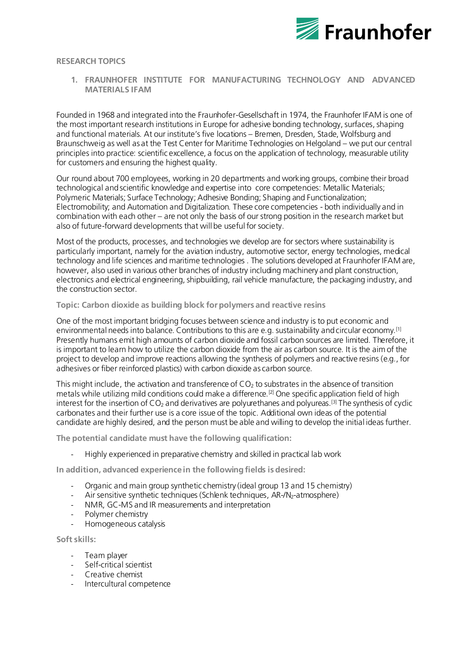

#### **RESEARCH TOPICS**

**1. FRAUNHOFER INSTITUTE FOR MANUFACTURING TECHNOLOGY AND ADVANCED MATERIALS IFAM**

Founded in 1968 and integrated into the Fraunhofer-Gesellschaft in 1974, the Fraunhofer IFAM is one of the most important research institutions in Europe fo[r adhesive bonding technology, surfaces](https://www.ifam.fraunhofer.de/en/Profile/Locations/Bremen/Adhesive_Bonding_Surfaces.html)[, shaping](https://www.ifam.fraunhofer.de/en/Profile/Locations/Bremen/Shaping_Functional_Materials.html)  [and functional materials](https://www.ifam.fraunhofer.de/en/Profile/Locations/Bremen/Shaping_Functional_Materials.html). At our institute's five [locations](https://www.ifam.fraunhofer.de/en/Profile/Locations.html) – Bremen, Dresden, Stade, Wolfsburg and Braunschweig as well as at the Test Center for Maritime Technologies on Helgoland – we put our central principles into practice: scientific excellence, a focus on the application of technology, measurable utility for customers and ensuring the highest quality.

Our round about 700 employees, working in 2[0 departments](https://www.ifam.fraunhofer.de/en/Research.html) and working groups, combine their broad technological and scientific knowledge and expertise into [core competencies](https://www.ifam.fraunhofer.de/en/Core_Competencies.html): Metallic Materials; Polymeric Materials; Surface Technology; Adhesive Bonding; Shaping and Functionalization; Electromobility; and Automation and Digitalization. These core competencies - both individually and in combination with each other – are not only the basis of our strong position in the research market but also of future-forward developments that will be useful for society.

Most of the products, processes, and technologies we develop are for sectors where sustainability is particularly important, namely for th[e aviation industry](https://www.ifam.fraunhofer.de/en/Profile/Business_Segments/Aviation.html)[, automotive sector](https://www.ifam.fraunhofer.de/en/Profile/Business_Segments/Automotive.html)[, energy technologies](https://www.ifam.fraunhofer.de/en/Profile/Business_Segments/Energy_Environment.html)[, medical](https://www.ifam.fraunhofer.de/en/Profile/Business_Segments/Medical_Technology_Life_Sciences.html)  [technology and life sciences](https://www.ifam.fraunhofer.de/en/Profile/Business_Segments/Medical_Technology_Life_Sciences.html) an[d maritime technologies](https://www.ifam.fraunhofer.de/en/Profile/Business_Segments/maritime-technologies.html) . The solutions developed at Fraunhofer IFAM are, however, also used in various other branches of industry including machinery and plant construction, electronics and electrical engineering, shipbuilding, rail vehicle manufacture, the packaging industry, and the construction sector.

**Topic: Carbon dioxide as building block for polymers and reactive resins**

One of the most important bridging focuses between science and industry is to put economic and environmental needs into balance. Contributions to this are e.g. sustainability and circular economy.<sup>[1]</sup> Presently humans emit high amounts of carbon dioxide and fossil carbon sources are limited. Therefore, it is important to learn how to utilize the carbon dioxide from the air as carbon source. It is the aim of the project to develop and improve reactions allowing the synthesis of polymers and reactive resins (e.g., for adhesives or fiber reinforced plastics) with carbon dioxide as carbon source.

This might include, the activation and transference of  $CO<sub>2</sub>$  to substrates in the absence of transition metals while utilizing mild conditions could make a difference.<sup>[2]</sup> One specific application field of high interest for the insertion of  $CO<sub>2</sub>$  and derivatives are polyurethanes and polyureas.<sup>[3]</sup> The synthesis of cyclic carbonates and their further use is a core issue of the topic. Additional own ideas of the potential candidate are highly desired, and the person must be able and willing to develop the initial ideas further.

**The potential candidate must have the following qualification:**

- Highly experienced in preparative chemistry and skilled in practical lab work

**In addition, advanced experience in the following fields is desired:** 

- Organic and main group synthetic chemistry (ideal group 13 and 15 chemistry)
- Air sensitive synthetic techniques (Schlenk techniques, AR-/N<sub>2</sub>-atmosphere)
- NMR, GC-MS and IR measurements and interpretation
- Polymer chemistry
- Homogeneous catalysis

**Soft skills:**

- Team player
- Self-critical scientist
- Creative chemist
- Intercultural competence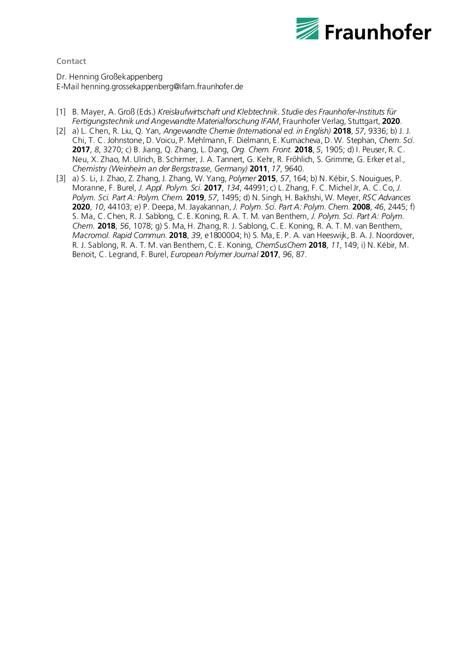

**Contact**

Dr. Henning Großekappenberg E-Mai[l henning.grossekappenberg@ifam.fraunhofer.de](mailto:henning.grossekappenberg@ifam.fraunhofer.de)

- [1] B. Mayer, A. Groß (Eds.) *Kreislaufwirtschaft und Klebtechnik*. *Studie des Fraunhofer-Instituts für Fertigungstechnik und Angewandte Materialforschung IFAM*, Fraunhofer Verlag, Stuttgart, **2020**.
- [2] a) L. Chen, R. Liu, Q. Yan, *Angewandte Chemie (International ed. in English)* **2018**, *57*, 9336; b) J. J. Chi, T. C. Johnstone, D. Voicu, P. Mehlmann, F. Dielmann, E. Kumacheva, D. W. Stephan, *Chem. Sci.* **2017**, *8*, 3270; c) B. Jiang, Q. Zhang, L. Dang, *Org. Chem. Front.* **2018**, *5*, 1905; d) I. Peuser, R. C. Neu, X. Zhao, M. Ulrich, B. Schirmer, J. A. Tannert, G. Kehr, R. Fröhlich, S. Grimme, G. Erker et al., *Chemistry (Weinheim an der Bergstrasse, Germany)* **2011**, *17*, 9640.
- [3] a) S. Li, J. Zhao, Z. Zhang, J. Zhang, W. Yang, *Polymer* **2015**, *57*, 164; b) N. Kébir, S. Nouigues, P. Moranne, F. Burel, *J. Appl. Polym. Sci.* **2017**, *134*, 44991; c) L. Zhang, F. C. Michel Jr, A. C. Co, *J. Polym. Sci. Part A: Polym. Chem.* **2019**, *57*, 1495; d) N. Singh, H. Bakhshi, W. Meyer, *RSC Advances* **2020**, *10*, 44103; e) P. Deepa, M. Jayakannan, *J. Polym. Sci. Part A: Polym. Chem.* **2008**, *46*, 2445; f) S. Ma, C. Chen, R. J. Sablong, C. E. Koning, R. A. T. M. van Benthem, *J. Polym. Sci. Part A: Polym. Chem.* **2018**, *56*, 1078; g) S. Ma, H. Zhang, R. J. Sablong, C. E. Koning, R. A. T. M. van Benthem, *Macromol. Rapid Commun.* **2018**, *39*, e1800004; h) S. Ma, E. P. A. van Heeswijk, B. A. J. Noordover, R. J. Sablong, R. A. T. M. van Benthem, C. E. Koning, *ChemSusChem* **2018**, *11*, 149; i) N. Kébir, M. Benoit, C. Legrand, F. Burel, *European Polymer Journal* **2017**, *96*, 87.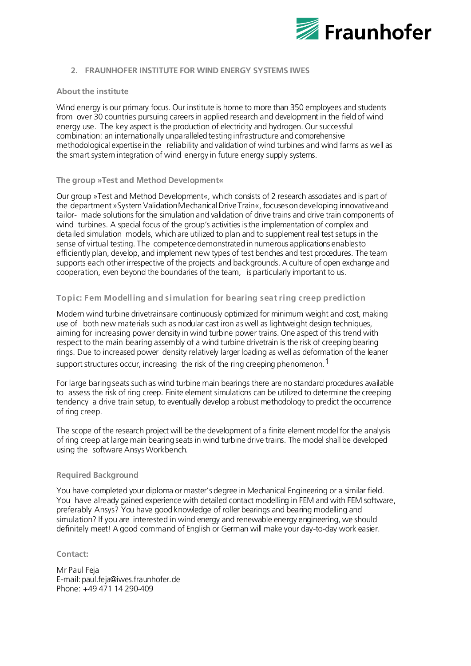

#### **2. FRAUNHOFER INSTITUTE FOR WIND ENERGY SYSTEMS IWES**

#### **Aboutthe institute**

Wind energy is our primary focus. Our institute is home to more than 350 employees and students from over 30 countries pursuing careers in applied research and development in the field of wind energy use. The key aspect is the production of electricity and hydrogen. Our successful combination: an internationally unparalleled testing infrastructure and comprehensive methodological expertiseinthe reliability and validation of wind turbines and wind farms as well as the smart system integration of wind energy in future energy supply systems.

#### **The group »Test and Method Development«**

Our group »Test and Method Development«, which consists of 2 research associates and is part of the department »System ValidationMechanical DriveTrain«, focusesondeveloping innovativeand tailor- made solutionsfor the simulation and validation of drive trains and drive train components of wind turbines. A special focus of the group's activities isthe implementation of complex and detailed simulation models, which are utilized to plan and to supplement real test setups in the sense of virtual testing. The competencedemonstrated innumerous applications enablesto efficiently plan, develop, and implement new types of test benches and test procedures. The team supports each other irrespective of the projects and backgrounds. A culture of open exchange and cooperation, even beyond the boundaries of the team, is particularly important to us.

#### **Topic: Fem Modelling and simulation for bearing seat ring creep prediction**

Modern wind turbine drivetrainsare continuously optimized for minimum weight and cost, making use of both new materials such as nodular cast iron aswell as lightweight design techniques, aiming for increasing power density in wind turbine power trains. One aspect of this trend with respect to the main bearing assembly of a wind turbine drivetrain is the risk of creeping bearing rings. Due to increased power density relatively larger loading as well as deformation of the leaner

support structures occur, increasing the risk of the ring creeping phenomeno[n.](#page-4-0)<sup>1</sup>

For large baring seats suchas wind turbine main bearings there are no standard procedures available to assess the risk of ring creep. Finite element simulations can be utilized to determine the creeping tendency a drive train setup, to eventually develop a robust methodology to predict the occurrence of ring creep.

The scope of the research project will be the development of a finite element model for the analysis of ring creep at large main bearing seats in wind turbine drive trains. The model shall be developed using the software AnsysWorkbench.

#### **Required Background**

You have completed your diploma or master's degree in Mechanical Engineering or a similar field. You have already gained experience with detailed contact modelling in FEM and with FEM software, preferably Ansys? You have good knowledge of roller bearings and bearing modelling and simulation? If you are interested in wind energy and renewable energy engineering, we should definitely meet! A good command of English or German will make your day-to-day work easier.

## **Contact:**

Mr Paul Feja E-mai[l:paul.feja@iwes.fraunhofer.de](mailto:paul.feja@iwes.fraunhofer.de) Phone: +49 471 14 290-409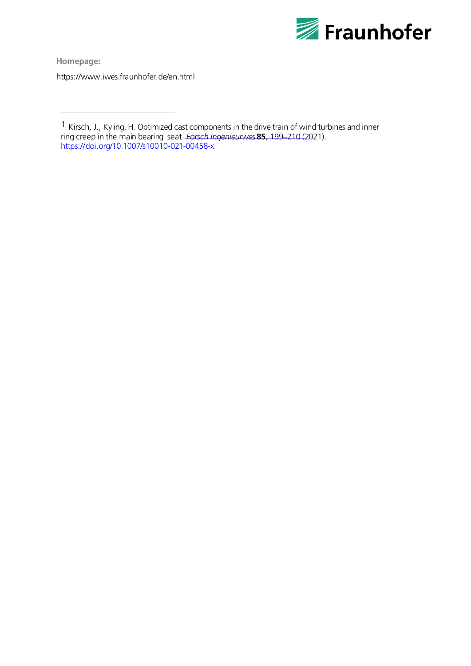

**Homepage:**  https://www.iwes.fraunhofer.de/en.html

<span id="page-4-0"></span><sup>1</sup> Kirsch, J., Kyling, H. Optimized cast components in the drive train of wind turbines and inner ring creep in the main bearing seat. *Forsch Ingenieurwes* **85**, 199–210 (2021). <https://doi.org/10.1007/s10010-021-00458-x>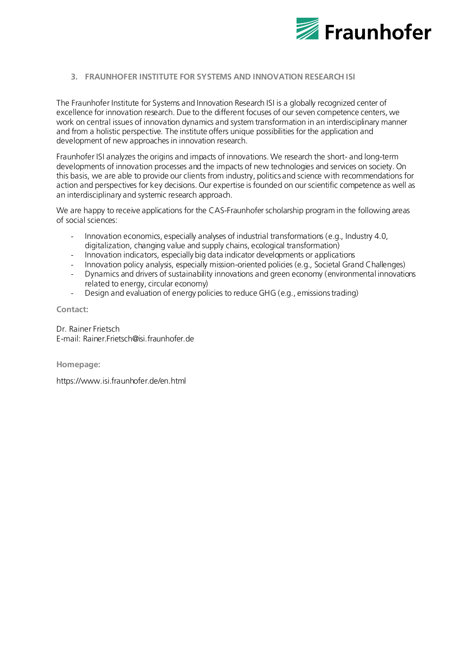

## **3. FRAUNHOFER INSTITUTE FOR SYSTEMS AND INNOVATION RESEARCH ISI**

The Fraunhofer Institute for Systems and Innovation Research ISI is a globally recognized center of excellence for innovation research. Due to the different focuses of our seven competence centers, we work on central issues of innovation dynamics and system transformation in an interdisciplinary manner and from a holistic perspective. The institute offers unique possibilities for the application and development of new approaches in innovation research.

Fraunhofer ISI analyzes the origins and impacts of innovations. We research the short- and long-term developments of innovation processes and the impacts of new technologies and services on society. On this basis, we are able to provide our clients from industry, politics and science with recommendations for action and perspectives for key decisions. Our expertise is founded on our scientific competence as well as an interdisciplinary and systemic research approach.

We are happy to receive applications for the CAS-Fraunhofer scholarship program in the following areas of social sciences:

- Innovation economics, especially analyses of industrial transformations (e.g., Industry 4.0, digitalization, changing value and supply chains, ecological transformation)
- Innovation indicators, especially big data indicator developments or applications
- Innovation policy analysis, especially mission-oriented policies (e.g., Societal Grand Challenges)
- Dynamics and drivers of sustainability innovations and green economy (environmental innovations related to energy, circular economy)
- Design and evaluation of energy policies to reduce GHG (e.g., emissions trading)

### **Contact:**

Dr. Rainer Frietsch E-mail: Rainer.Frietsch@isi.fraunhofer.de

**Homepage:**

https://www.isi.fraunhofer.de/en.html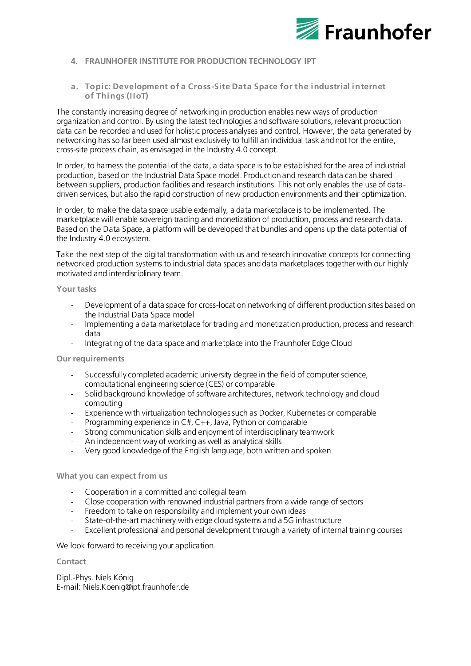

# **4. FRAUNHOFER INSTITUTE FOR PRODUCTION TECHNOLOGY IPT**

## **a. Topic: Development of a Cross -Site Data Space for the industrial internet of Things (IIoT)**

The constantly increasing degree of networking in production enables new ways of production organization and control. By using the latest technologies and software solutions, relevant production data can be recorded and used for holistic process analyses and control. However, the data generated by networking has so far been used almost exclusively to fulfill an individual task and not for the entire, cross-site process chain, as envisaged in the Industry 4.0 concept.

In order, to harness the potential of the data, a data space is to be established for the area of industrial production, based on the Industrial Data Space model. Production and research data can be shared between suppliers, production facilities and research institutions. This not only enables the use of datadriven services, but also the rapid construction of new production environments and their optimization.

In order, to make the data space usable externally, a data marketplace is to be implemented. The marketplace will enable sovereign trading and monetization of production, process and research data. Based on the Data Space, a platform will be developed that bundles and opens up the data potential of the Industry 4.0 ecosystem.

Take the next step of the digital transformation with us and research innovative concepts for connecting networked production systems to industrial data spaces and data marketplaces together with our highly motivated and interdisciplinary team.

#### **Your tasks**

- Development of a data space for cross-location networking of different production sites based on the Industrial Data Space model
- Implementing a data marketplace for trading and monetization production, process and research data
- Integrating of the data space and marketplace into the Fraunhofer Edge Cloud

#### **Our requirements**

- Successfully completed academic university degree in the field of computer science, computational engineering science (CES) or comparable
- Solid background knowledge of software architectures, network technology and cloud computing
- Experience with virtualization technologies such as Docker, Kubernetes or comparable
- Programming experience in C#, C++, Java, Python or comparable
- Strong communication skills and enjoyment of interdisciplinary teamwork
- An independent way of working as well as analytical skills
- Very good knowledge of the English language, both written and spoken

## **What you can expect from us**

- Cooperation in a committed and collegial team
- Close cooperation with renowned industrial partners from a wide range of sectors
- Freedom to take on responsibility and implement your own ideas
- State-of-the-art machinery with edge cloud systems and a 5G infrastructure
- Excellent professional and personal development through a variety of internal training courses

We look forward to receiving your application.

#### **Contact**

Dipl.-Phys. Niels König E-mail[: Niels.Koenig@ipt.fraunhofer.de](mailto:Niels.Koenig@ipt.fraunhofer.de)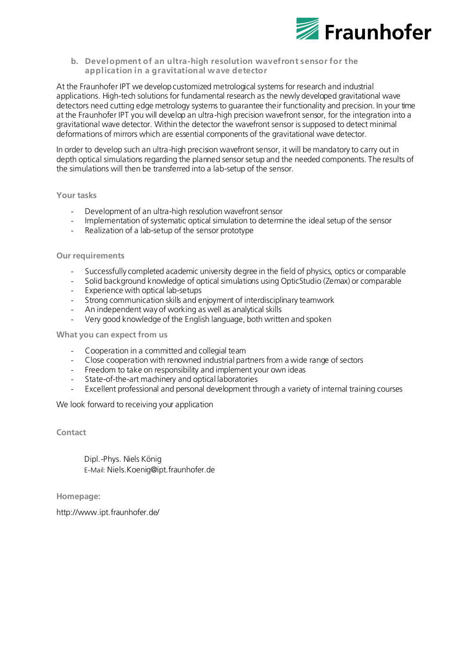

**b. Development of an ultra-high resolution wavefront sensor for the application in a gravitational wave detector**

At the Fraunhofer IPT we develop customized metrological systems for research and industrial applications. High-tech solutions for fundamental research as the newly developed gravitational wave detectors need cutting edge metrology systems to guarantee their functionality and precision. In your time at the Fraunhofer IPT you will develop an ultra-high precision wavefront sensor, for the integration into a gravitational wave detector. Within the detector the wavefront sensor is supposed to detect minimal deformations of mirrors which are essential components of the gravitational wave detector.

In order to develop such an ultra-high precision wavefront sensor, it will be mandatory to carry out in depth optical simulations regarding the planned sensor setup and the needed components. The results of the simulations will then be transferred into a lab-setup of the sensor.

#### **Your tasks**

- Development of an ultra-high resolution wavefront sensor
- Implementation of systematic optical simulation to determine the ideal setup of the sensor
- Realization of a lab-setup of the sensor prototype

#### **Our requirements**

- Successfully completed academic university degree in the field of physics, optics or comparable
- Solid background knowledge of optical simulations using OpticStudio (Zemax) or comparable
- Experience with optical lab-setups
- Strong communication skills and enjoyment of interdisciplinary teamwork
- An independent way of working as well as analytical skills
- Very good knowledge of the English language, both written and spoken

#### **What you can expect from us**

- Cooperation in a committed and collegial team
- Close cooperation with renowned industrial partners from a wide range of sectors
- Freedom to take on responsibility and implement your own ideas
- State-of-the-art machinery and optical laboratories
- Excellent professional and personal development through a variety of internal training courses

We look forward to receiving your application

**Contact**

Dipl.-Phys. Niels König E-Mail: [Niels.Koenig@ipt.fraunhofer.de](mailto:Niels.Koenig@ipt.fraunhofer.de)

**Homepage:** 

http://www.ipt.fraunhofer.de/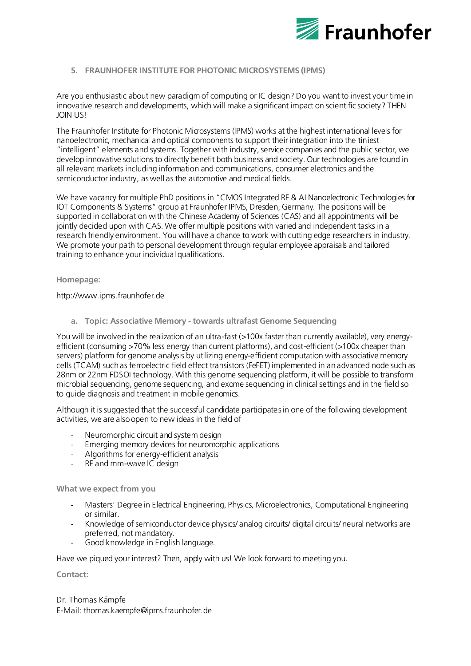

# **5. FRAUNHOFER INSTITUTE FOR PHOTONIC MICROSYSTEM[S \(IPMS\)](https://www.ipms.fraunhofer.de/en.html)**

Are you enthusiastic about new paradigm of computing or IC design? Do you want to invest your time in innovative research and developments, which will make a significant impact on scientific society? THEN JOIN US!

The [Fraunhofer Institute for Photonic Microsystems \(IPMS\)](https://www.ipms.fraunhofer.de/en.html) works at the highest international levels for nanoelectronic, mechanical and optical components to support their integration into the tiniest "intelligent" elements and systems. Together with industry, service companies and the public sector, we develop innovative solutions to directly benefit both business and society. Our technologies are found in all relevant markets including information and communications, consumer electronics and the semiconductor industry, as well as the automotive and medical fields.

We have vacancy for multiple PhD positions in "CMOS Integrated RF & AI Nanoelectronic Technologies for IOT Components & Systems" group at Fraunhofer IPMS, Dresden, Germany. The positions will be supported in collaboration with the Chinese Academy of Sciences (CAS) and all appointments will be jointly decided upon with CAS. We offer multiple positions with varied and independent tasks in a research friendly environment. You will have a chance to work with cutting edge researchers in industry. We promote your path to personal development through regular employee appraisals and tailored training to enhance your individual qualifications.

#### **Homepage:**

[http://www.ipms.fraunhofer.de](http://www.ipms.fraunhofer.de/)

**a. Topic: Associative Memory - towards ultrafast Genome Sequencing**

You will be involved in the realization of an ultra-fast (>100x faster than currently available), very energyefficient (consuming >70% less energy than current platforms), and cost-efficient (>100x cheaper than servers) platform for genome analysis by utilizing energy-efficient computation with associative memory cells (TCAM) such as ferroelectric field effect transistors (FeFET) implemented in an advanced node such as 28nm or 22nm FDSOI technology. With this genome sequencing platform, it will be possible to transform microbial sequencing, genome sequencing, and exome sequencing in clinical settings and in the field so to guide diagnosis and treatment in mobile genomics.

Although it is suggested that the successful candidate participatesin one of the following development activities, we are also open to new ideas in the field of

- Neuromorphic circuit and system design
- Emerging memory devices for neuromorphic applications
- Algorithms for energy-efficient analysis
- RF and mm-wave IC design

## **What we expect from you**

- Masters' Degree in Electrical Engineering, Physics, Microelectronics, Computational Engineering or similar.
- Knowledge of semiconductor device physics/ analog circuits/ digital circuits/ neural networks are preferred, not mandatory.
- Good knowledge in English language.

Have we piqued your interest? Then, apply with us! We look forward to meeting you.

**Contact:**

Dr. Thomas Kämpfe E-Mail: thomas.kaempfe@ipms.fraunhofer.de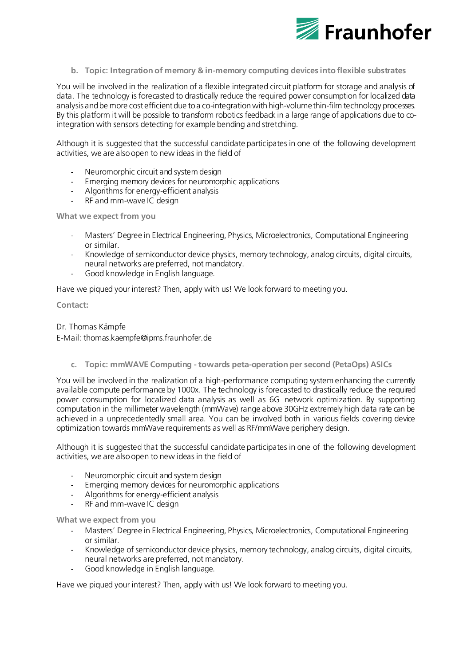

**b. Topic: Integration of memory & in-memory computing devices into flexible substrates**

You will be involved in the realization of a flexible integrated circuit platform for storage and analysis of data. The technology is forecasted to drastically reduce the required power consumption for localized data analysis and be more cost efficient due to a co-integration with high-volume thin-film technology processes. By this platform it will be possible to transform robotics feedback in a large range of applications due to cointegration with sensors detecting for example bending and stretching.

Although it is suggested that the successful candidate participates in one of the following development activities, we are also open to new ideas in the field of

- Neuromorphic circuit and system design
- Emerging memory devices for neuromorphic applications
- Algorithms for energy-efficient analysis
- RF and mm-wave IC design

**What we expect from you**

- Masters' Degree in Electrical Engineering, Physics, Microelectronics, Computational Engineering or similar.
- Knowledge of semiconductor device physics, memory technology, analog circuits, digital circuits, neural networks are preferred, not mandatory.
- Good knowledge in English language.

Have we piqued your interest? Then, apply with us! We look forward to meeting you.

**Contact:**

## Dr. Thomas Kämpfe

E-Mail: thomas.kaempfe@ipms.fraunhofer.de

**c. Topic: mmWAVE Computing - towards peta-operation per second (PetaOps) ASICs**

You will be involved in the realization of a high-performance computing system enhancing the currently available compute performance by 1000x. The technology is forecasted to drastically reduce the required power consumption for localized data analysis as well as 6G network optimization. By supporting computation in the millimeter wavelength (mmWave) range above 30GHz extremely high data rate can be achieved in a unprecedentedly small area. You can be involved both in various fields covering device optimization towards mmWave requirements as well as RF/mmWave periphery design.

Although it is suggested that the successful candidate participates in one of the following development activities, we are also open to new ideas in the field of

- Neuromorphic circuit and system design
- Emerging memory devices for neuromorphic applications
- Algorithms for energy-efficient analysis
- RF and mm-wave IC design

**What we expect from you**

- Masters' Degree in Electrical Engineering, Physics, Microelectronics, Computational Engineering or similar.
- Knowledge of semiconductor device physics, memory technology, analog circuits, digital circuits, neural networks are preferred, not mandatory.
- Good knowledge in English language.

Have we piqued your interest? Then, apply with us! We look forward to meeting you.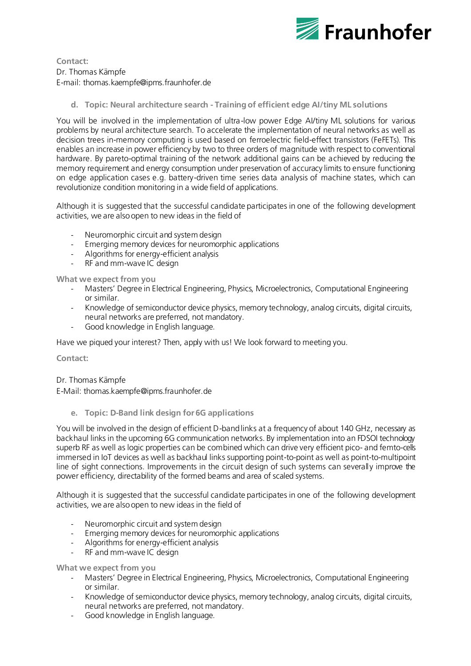

**Contact:** Dr. Thomas Kämpfe E-mail: thomas.kaempfe@ipms.fraunhofer.de

**d. Topic: Neural architecture search - Training of efficient edge AI/tiny ML solutions**

You will be involved in the implementation of ultra-low power Edge AI/tiny ML solutions for various problems by neural architecture search. To accelerate the implementation of neural networks as well as decision trees in-memory computing is used based on ferroelectric field-effect transistors (FeFETs). This enables an increase in power efficiency by two to three orders of magnitude with respect to conventional hardware. By pareto-optimal training of the network additional gains can be achieved by reducing the memory requirement and energy consumption under preservation of accuracy limits to ensure functioning on edge application cases e.g. battery-driven time series data analysis of machine states, which can revolutionize condition monitoring in a wide field of applications.

Although it is suggested that the successful candidate participates in one of the following development activities, we are also open to new ideas in the field of

- Neuromorphic circuit and system design
- Emerging memory devices for neuromorphic applications
- Algorithms for energy-efficient analysis
- RF and mm-wave IC design

**What we expect from you**

- Masters' Degree in Electrical Engineering, Physics, Microelectronics, Computational Engineering or similar.
- Knowledge of semiconductor device physics, memory technology, analog circuits, digital circuits, neural networks are preferred, not mandatory.
- Good knowledge in English language.

Have we piqued your interest? Then, apply with us! We look forward to meeting you.

**Contact:**

Dr. Thomas Kämpfe

E-Mail: thomas.kaempfe@ipms.fraunhofer.de

**e. Topic: D-Band link design for 6G applications**

You will be involved in the design of efficient D-band links at a frequency of about 140 GHz, necessary as backhaul links in the upcoming 6G communication networks. By implementation into an FDSOI technology superb RF as well as logic properties can be combined which can drive very efficient pico- and femto-cells immersed in IoT devices as well as backhaul links supporting point-to-point as well as point-to-multipoint line of sight connections. Improvements in the circuit design of such systems can severally improve the power efficiency, directability of the formed beams and area of scaled systems.

Although it is suggested that the successful candidate participates in one of the following development activities, we are also open to new ideas in the field of

- Neuromorphic circuit and system design
- Emerging memory devices for neuromorphic applications
- Algorithms for energy-efficient analysis
- RF and mm-wave IC design

**What we expect from you**

- Masters' Degree in Electrical Engineering, Physics, Microelectronics, Computational Engineering or similar.
- Knowledge of semiconductor device physics, memory technology, analog circuits, digital circuits, neural networks are preferred, not mandatory.
- Good knowledge in English language.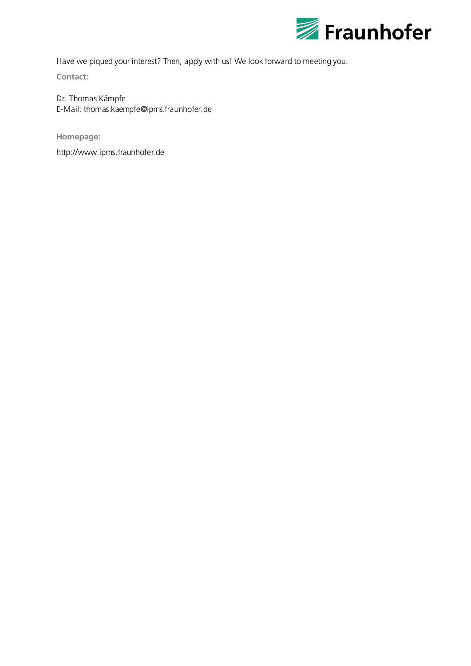

Have we piqued your interest? Then, apply with us! We look forward to meeting you.

**Contact:**

Dr. Thomas Kämpfe E-Mail: thomas.kaempfe@ipms.fraunhofer.de

**Homepage:** 

[http://www.ipms.fraunhofer.de](http://www.ipms.fraunhofer.de/)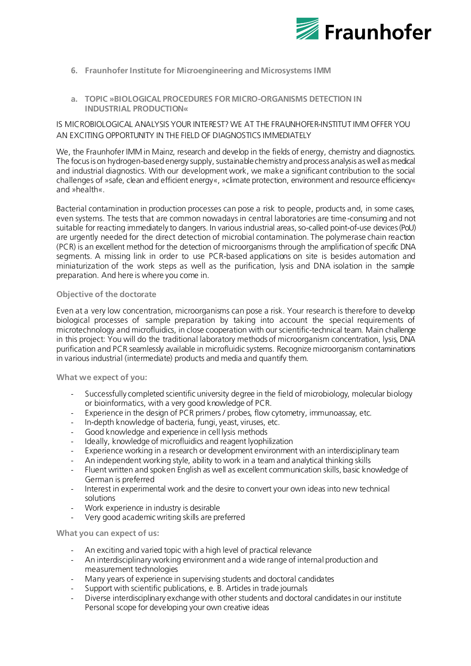

- **6. [Fraunhofer Institute for Microengineering and Microsystems IMM](https://www.imm.fraunhofer.de/en.html)**
- **a. TOPIC »BIOLOGICAL PROCEDURES FOR MICRO-ORGANISMS DETECTION IN INDUSTRIAL PRODUCTION«**

# IS MICROBIOLOGICAL ANALYSIS YOUR INTEREST? WE AT THE FRAUNHOFER-INSTITUT IMM OFFER YOU AN EXCITING OPPORTUNITY IN THE FIELD OF DIAGNOSTICS IMMEDIATELY

We, the Fraunhofer IMM in Mainz, research and develop in the fields of energy, chemistry and diagnostics. The focus is on hydrogen-based energy supply, sustainable chemistry and process analysis as well as medical and industrial diagnostics. With our development work, we make a significant contribution to the social challenges of »safe, clean and efficient energy«, »climate protection, environment and resource efficiency« and »health«.

Bacterial contamination in production processes can pose a risk to people, products and, in some cases, even systems. The tests that are common nowadays in central laboratories are time-consuming and not suitable for reacting immediately to dangers. In various industrial areas, so-called point-of-use devices (PoU) are urgently needed for the direct detection of microbial contamination. The polymerase chain reaction (PCR) is an excellent method for the detection of microorganisms through the amplification of specific DNA segments. A missing link in order to use PCR-based applications on site is besides automation and miniaturization of the work steps as well as the purification, lysis and DNA isolation in the sample preparation. And here is where you come in.

## **Objective of the doctorate**

Even at a very low concentration, microorganisms can pose a risk. Your research is therefore to develop biological processes of sample preparation by taking into account the special requirements of microtechnology and microfluidics, in close cooperation with our scientific-technical team. Main challenge in this project: You will do the traditional laboratory methods of microorganism concentration, lysis, DNA purification and PCR seamlessly available in microfluidic systems. Recognize microorganism contaminations in various industrial (intermediate) products and media and quantify them.

**What we expect of you:**

- Successfully completed scientific university degree in the field of microbiology, molecular biology or bioinformatics, with a very good knowledge of PCR.
- Experience in the design of PCR primers / probes, flow cytometry, immunoassay, etc.
- In-depth knowledge of bacteria, fungi, yeast, viruses, etc.
- Good knowledge and experience in cell lysis methods
- Ideally, knowledge of microfluidics and reagent lyophilization
- Experience working in a research or development environment with an interdisciplinary team
- An independent working style, ability to work in a team and analytical thinking skills
- Fluent written and spoken English as well as excellent communication skills, basic knowledge of German is preferred
- Interest in experimental work and the desire to convert your own ideas into new technical solutions
- Work experience in industry is desirable
- Very good academic writing skills are preferred

**What you can expect of us:**

- An exciting and varied topic with a high level of practical relevance
- An interdisciplinary working environment and a wide range of internal production and measurement technologies
- Many years of experience in supervising students and doctoral candidates
- Support with scientific publications, e. B. Articles in trade journals
- Diverse interdisciplinary exchange with other students and doctoral candidates in our institute Personal scope for developing your own creative ideas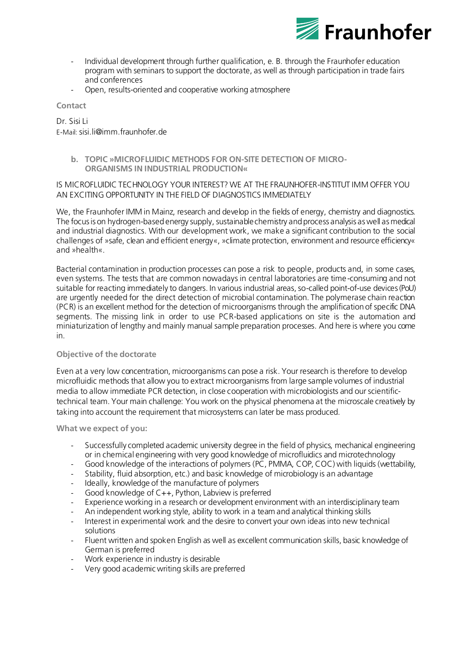

- Individual development through further qualification, e. B. through the Fraunhofer education program with seminars to support the doctorate, as well as through participation in trade fairs and conferences
- Open, results-oriented and cooperative working atmosphere

**Contact**

## Dr. Sisi Li E-Mail: [sisi.li@imm.fraunhofer.de](mailto:sisi.li@imm.fraunhofer.de)

- - **b. TOPIC »MICROFLUIDIC METHODS FOR ON-SITE DETECTION OF MICRO-ORGANISMS IN INDUSTRIAL PRODUCTION«**

# IS MICROFLUIDIC TECHNOLOGY YOUR INTEREST? WE AT THE FRAUNHOFER-INSTITUT IMM OFFER YOU AN EXCITING OPPORTUNITY IN THE FIELD OF DIAGNOSTICS IMMEDIATELY

We, the Fraunhofer IMM in Mainz, research and develop in the fields of energy, chemistry and diagnostics. The focus is on hydrogen-based energy supply, sustainable chemistry and process analysis as well as medical and industrial diagnostics. With our development work, we make a significant contribution to the social challenges of »safe, clean and efficient energy«, »climate protection, environment and resource efficiency« and »health«.

Bacterial contamination in production processes can pose a risk to people, products and, in some cases, even systems. The tests that are common nowadays in central laboratories are time-consuming and not suitable for reacting immediately to dangers. In various industrial areas, so-called point-of-use devices (PoU) are urgently needed for the direct detection of microbial contamination. The polymerase chain reaction (PCR) is an excellent method for the detection of microorganisms through the amplification of specific DNA segments. The missing link in order to use PCR-based applications on site is the automation and miniaturization of lengthy and mainly manual sample preparation processes. And here is where you come in.

# **Objective of the doctorate**

Even at a very low concentration, microorganisms can pose a risk. Your research is therefore to develop microfluidic methods that allow you to extract microorganisms from large sample volumes of industrial media to allow immediate PCR detection, in close cooperation with microbiologists and our scientifictechnical team. Your main challenge: You work on the physical phenomena at the microscale creatively by taking into account the requirement that microsystems can later be mass produced.

## **What we expect of you:**

- Successfully completed academic university degree in the field of physics, mechanical engineering or in chemical engineering with very good knowledge of microfluidics and microtechnology
- Good knowledge of the interactions of polymers (PC, PMMA, COP, COC) with liquids (wettability,
- Stability, fluid absorption, etc.) and basic knowledge of microbiology is an advantage
- Ideally, knowledge of the manufacture of polymers
- Good knowledge of  $C++$ , Python, Labview is preferred
- Experience working in a research or development environment with an interdisciplinary team
- An independent working style, ability to work in a team and analytical thinking skills
- Interest in experimental work and the desire to convert your own ideas into new technical solutions
- Fluent written and spoken English as well as excellent communication skills, basic knowledge of German is preferred
- Work experience in industry is desirable
- Very good academic writing skills are preferred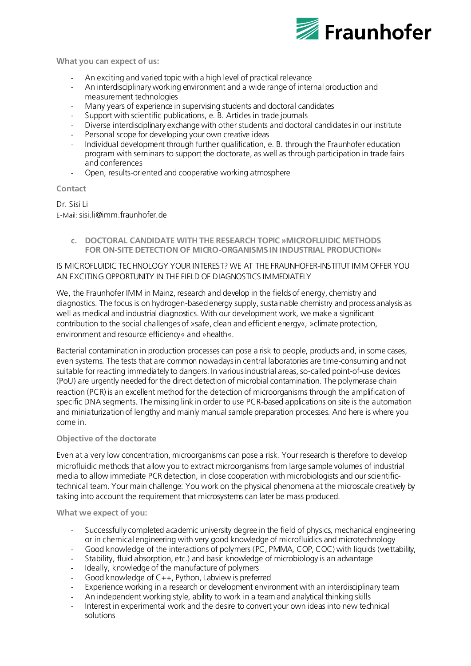

**What you can expect of us:**

- An exciting and varied topic with a high level of practical relevance
- An interdisciplinary working environment and a wide range of internal production and measurement technologies
- Many years of experience in supervising students and doctoral candidates
- Support with scientific publications, e. B. Articles in trade journals
- Diverse interdisciplinary exchange with other students and doctoral candidates in our institute
- Personal scope for developing your own creative ideas
- Individual development through further qualification, e. B. through the Fraunhofer education program with seminars to support the doctorate, as well as through participation in trade fairs and conferences
- Open, results-oriented and cooperative working atmosphere

## **Contact**

Dr. Sisi Li E-Mail: [sisi.li@imm.fraunhofer.de](mailto:sisi.li@imm.fraunhofer.de)

> **c. DOCTORAL CANDIDATE WITH THE RESEARCH TOPIC »MICROFLUIDIC METHODS FOR ON-SITE DETECTION OF MICRO-ORGANISMS IN INDUSTRIAL PRODUCTION«**

# IS MICROFLUIDIC TECHNOLOGY YOUR INTEREST? WE AT THE FRAUNHOFER-INSTITUT IMM OFFER YOU AN EXCITING OPPORTUNITY IN THE FIELD OF DIAGNOSTICS IMMEDIATELY

We, the Fraunhofer IMM in Mainz, research and develop in the fields of energy, chemistry and diagnostics. The focus is on hydrogen-based energy supply, sustainable chemistry and process analysis as well as medical and industrial diagnostics. With our development work, we make a significant contribution to the social challenges of »safe, clean and efficient energy«, »climate protection, environment and resource efficiency« and »health«.

Bacterial contamination in production processes can pose a risk to people, products and, in some cases, even systems. The tests that are common nowadays in central laboratories are time-consuming and not suitable for reacting immediately to dangers. In various industrial areas, so-called point-of-use devices (PoU) are urgently needed for the direct detection of microbial contamination. The polymerase chain reaction (PCR) is an excellent method for the detection of microorganisms through the amplification of specific DNA segments. The missing link in order to use PCR-based applications on site is the automation and miniaturization of lengthy and mainly manual sample preparation processes. And here is where you come in.

## **Objective of the doctorate**

Even at a very low concentration, microorganisms can pose a risk. Your research is therefore to develop microfluidic methods that allow you to extract microorganisms from large sample volumes of industrial media to allow immediate PCR detection, in close cooperation with microbiologists and our scientifictechnical team. Your main challenge: You work on the physical phenomena at the microscale creatively by taking into account the requirement that microsystems can later be mass produced.

**What we expect of you:**

- Successfully completed academic university degree in the field of physics, mechanical engineering or in chemical engineering with very good knowledge of microfluidics and microtechnology
- Good knowledge of the interactions of polymers (PC, PMMA, COP, COC) with liquids (wettability,
- Stability, fluid absorption, etc.) and basic knowledge of microbiology is an advantage
- Ideally, knowledge of the manufacture of polymers
- Good knowledge of C++, Python, Labview is preferred
- Experience working in a research or development environment with an interdisciplinary team
- An independent working style, ability to work in a team and analytical thinking skills
- Interest in experimental work and the desire to convert your own ideas into new technical solutions